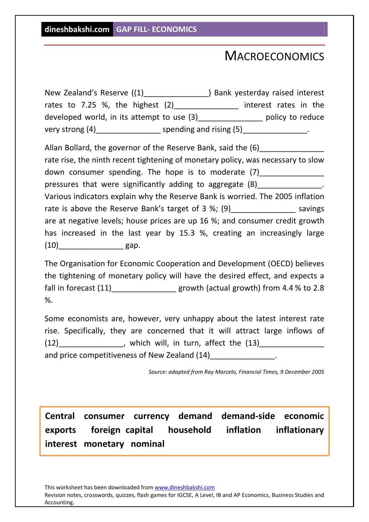## **MACROECONOMICS**

| New Zealand's Reserve ((1)                 | ) Bank yesterday raised interest                                                                                                                                                                                                                                |
|--------------------------------------------|-----------------------------------------------------------------------------------------------------------------------------------------------------------------------------------------------------------------------------------------------------------------|
| rates to $7.25$ %, the highest $(2)$       | interest rates in the                                                                                                                                                                                                                                           |
| developed world, in its attempt to use (3) | policy to reduce                                                                                                                                                                                                                                                |
| very strong (4)                            | spending and rising (5)<br><b>South Contract Contract Contract Contract Contract Contract Contract Contract Contract Contract Contract Contract Contract Contract Contract Contract Contract Contract Contract Contract Contract Contract Contract Contract</b> |

Allan Bollard, the governor of the Reserve Bank, said the (6) rate rise, the ninth recent tightening of monetary policy, was necessary to slow down consumer spending. The hope is to moderate (7) pressures that were significantly adding to aggregate (8) Various indicators explain why the Reserve Bank is worried. The 2005 inflation rate is above the Reserve Bank's target of 3 %; (9) savings are at negative levels; house prices are up 16 %; and consumer credit growth has increased in the last year by 15.3 %, creating an increasingly large  $(10)$  gap.

The Organisation for Economic Cooperation and Development (OECD) believes the tightening of monetary policy will have the desired effect, and expects a fall in forecast  $(11)$  \_\_\_\_\_\_\_\_\_\_\_\_\_\_\_\_\_ growth (actual growth) from 4.4 % to 2.8 %.

Some economists are, however, very unhappy about the latest interest rate rise. Specifically, they are concerned that it will attract large inflows of  $(12)$  , which will, in turn, affect the  $(13)$ and price competitiveness of New Zealand (14)\_\_\_\_\_\_\_\_\_\_\_\_\_\_\_

*Source: adapted from Ray Marcelo, Financial Times, 9 December 2005* 

 **Central consumer currency demand demand-side economic exports foreign capital household inflation inflationary interest monetary nominal** 

This worksheet has been downloaded from www.dineshbakshi.com Revision notes, crosswords, quizzes, flash games for IGCSE, A Level, IB and AP Economics, Business Studies and Accounting.